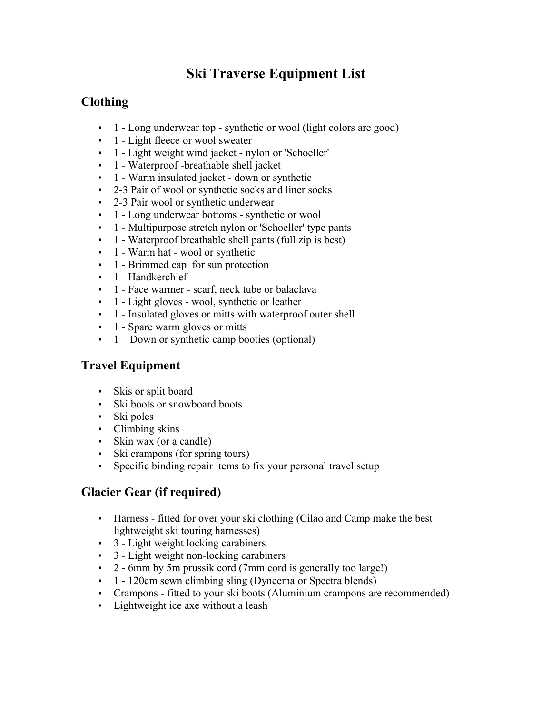# **Ski Traverse Equipment List**

## **Clothing**

- 1 Long underwear top synthetic or wool (light colors are good)
- 1 Light fleece or wool sweater
- 1 Light weight wind jacket nylon or 'Schoeller'
- 1 Waterproof -breathable shell jacket
- 1 Warm insulated jacket down or synthetic
- 2-3 Pair of wool or synthetic socks and liner socks
- 2-3 Pair wool or synthetic underwear
- 1 Long underwear bottoms synthetic or wool
- 1 Multipurpose stretch nylon or 'Schoeller' type pants
- 1 Waterproof breathable shell pants (full zip is best)
- 1 Warm hat wool or synthetic
- 1 Brimmed cap for sun protection
- 1 Handkerchief
- 1 Face warmer scarf, neck tube or balaclava
- 1 Light gloves wool, synthetic or leather
- 1 Insulated gloves or mitts with waterproof outer shell
- 1 Spare warm gloves or mitts
- $\bullet$  1 Down or synthetic camp booties (optional)

## **Travel Equipment**

- Skis or split board
- Ski boots or snowboard boots
- Ski poles
- Climbing skins
- Skin wax (or a candle)
- Ski crampons (for spring tours)
- Specific binding repair items to fix your personal travel setup

## **Glacier Gear (if required)**

- Harness fitted for over your ski clothing (Cilao and Camp make the best lightweight ski touring harnesses)
- 3 Light weight locking carabiners
- 3 Light weight non-locking carabiners
- 2 6mm by 5m prussik cord (7mm cord is generally too large!)
- 1 120cm sewn climbing sling (Dyneema or Spectra blends)
- Crampons fitted to your ski boots (Aluminium crampons are recommended)
- Lightweight ice axe without a leash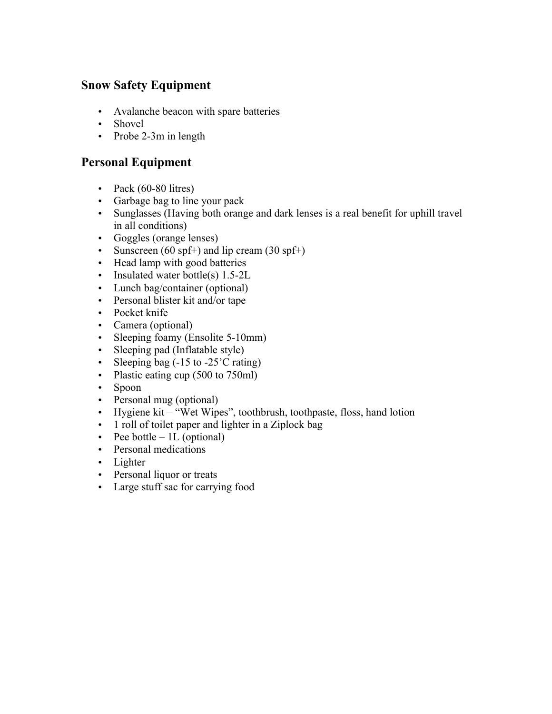#### **Snow Safety Equipment**

- Avalanche beacon with spare batteries
- Shovel
- Probe 2-3m in length

#### **Personal Equipment**

- Pack  $(60-80$  litres)
- Garbage bag to line your pack
- Sunglasses (Having both orange and dark lenses is a real benefit for uphill travel in all conditions)
- Goggles (orange lenses)
- Sunscreen (60 spf+) and lip cream (30 spf+)
- Head lamp with good batteries
- Insulated water bottle(s) 1.5-2L
- Lunch bag/container (optional)
- Personal blister kit and/or tape
- Pocket knife
- Camera (optional)
- Sleeping foamy (Ensolite 5-10mm)
- Sleeping pad (Inflatable style)
- Sleeping bag (-15 to -25'C rating)
- Plastic eating cup (500 to 750ml)
- Spoon
- Personal mug (optional)
- Hygiene kit "Wet Wipes", toothbrush, toothpaste, floss, hand lotion
- 1 roll of toilet paper and lighter in a Ziplock bag
- Pee bottle  $-1L$  (optional)
- Personal medications
- Lighter
- Personal liquor or treats
- Large stuff sac for carrying food